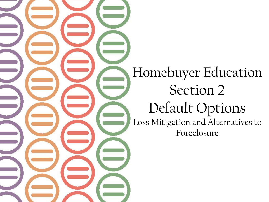Homebuyer Education Section 2 Default Options Loss Mitigation and Alternatives to Foreclosure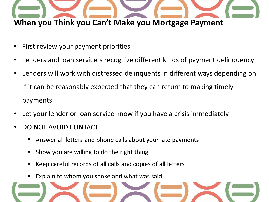

- First review your payment priorities
- Lenders and loan servicers recognize different kinds of payment delinquency
- Lenders will work with distressed delinquents in different ways depending on if it can be reasonably expected that they can return to making timely payments
- Let your lender or loan service know if you have a crisis immediately
- DO NOT AVOID CONTACT
	- Answer all letters and phone calls about your late payments
	- Show you are willing to do the right thing
	- Keep careful records of all calls and copies of all letters
	- Explain to whom you spoke and what was said

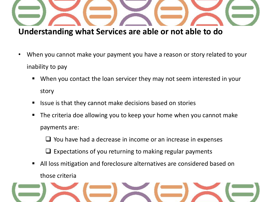

**Understanding what Services are able or not able to do**

- When you cannot make your payment you have a reason or story related to your inability to pay
	- When you contact the loan servicer they may not seem interested in your story
	- Issue is that they cannot make decisions based on stories
	- The criteria doe allowing you to keep your home when you cannot make payments are:

 $\Box$  You have had a decrease in income or an increase in expenses

 $\Box$  Expectations of you returning to making regular payments

 All loss mitigation and foreclosure alternatives are considered based on those criteria

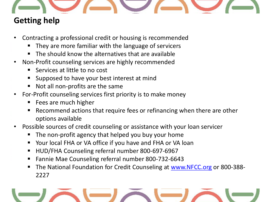

# **Getting help**

- Contracting a professional credit or housing is recommended
	- They are more familiar with the language of servicers
	- The should know the alternatives that are available
- Non-Profit counseling services are highly recommended
	- Services at little to no cost
	- Supposed to have your best interest at mind
	- Not all non-profits are the same
- For-Profit counseling services first priority is to make money
	- Fees are much higher
	- Recommend actions that require fees or refinancing when there are other options available
- Possible sources of credit counseling or assistance with your loan servicer
	- The non-profit agency that helped you buy your home
	- Your local FHA or VA office if you have and FHA or VA loan
	- HUD/FHA Counseling referral number 800-697-6967
	- Fannie Mae Counseling referral number 800-732-6643
	- The National Foundation for Credit Counseling at [www.NFCC.org](http://www.nfcc.org/) or 800-388-2227

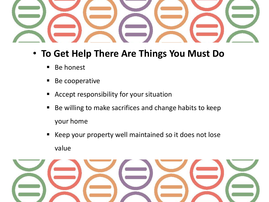

- **To Get Help There Are Things You Must Do**
	- Be honest
	- Be cooperative
	- Accept responsibility for your situation
	- Be willing to make sacrifices and change habits to keep your home
	- Keep your property well maintained so it does not lose value

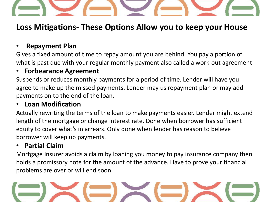## **Loss Mitigations- These Options Allow you to keep your House**

## • **Repayment Plan**

Gives a fixed amount of time to repay amount you are behind. You pay a portion of what is past due with your regular monthly payment also called a work-out agreement

### • **Forbearance Agreement**

Suspends or reduces monthly payments for a period of time. Lender will have you agree to make up the missed payments. Lender may us repayment plan or may add payments on to the end of the loan.

### • **Loan Modification**

Actually rewriting the terms of the loan to make payments easier. Lender might extend length of the mortgage or change interest rate. Done when borrower has sufficient equity to cover what's in arrears. Only done when lender has reason to believe borrower will keep up payments.

#### • **Partial Claim**

Mortgage Insurer avoids a claim by loaning you money to pay insurance company then holds a promissory note for the amount of the advance. Have to prove your financial problems are over or will end soon.

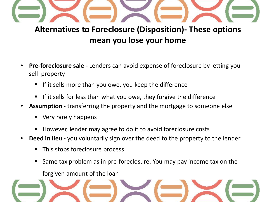

## **Alternatives to Foreclosure (Disposition)- These options mean you lose your home**

- **Pre-foreclosure sale -** Lenders can avoid expense of foreclosure by letting you sell property
	- If it sells more than you owe, you keep the difference
	- If it sells for less than what you owe, they forgive the difference
- **Assumption**  transferring the property and the mortgage to someone else
	- Very rarely happens
	- However, lender may agree to do it to avoid foreclosure costs
- **Deed in lieu -** you voluntarily sign over the deed to the property to the lender
	- This stops foreclosure process
	- Same tax problem as in pre-foreclosure. You may pay income tax on the

forgiven amount of the loan

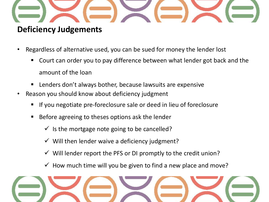

## **Deficiency Judgements**

- Regardless of alternative used, you can be sued for money the lender lost
	- Court can order you to pay difference between what lender got back and the amount of the loan
	- Lenders don't always bother, because lawsuits are expensive
- Reason you should know about deficiency judgment
	- If you negotiate pre-foreclosure sale or deed in lieu of foreclosure
	- Before agreeing to theses options ask the lender
		- $\checkmark$  is the mortgage note going to be cancelled?
		- $\checkmark$  Will then lender waive a deficiency judgment?
		- $\checkmark$  Will lender report the PFS or DI promptly to the credit union?
		- $\checkmark$  How much time will you be given to find a new place and move?